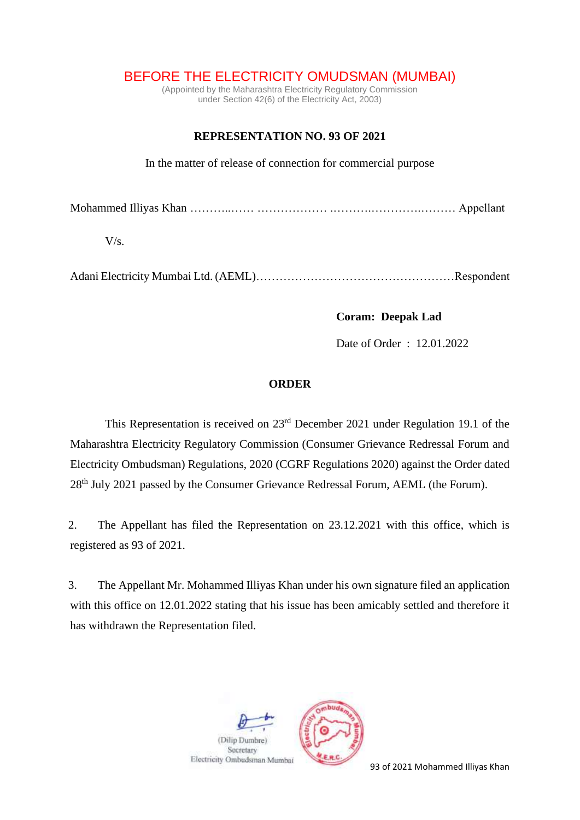## BEFORE THE ELECTRICITY OMUDSMAN (MUMBAI)

(Appointed by the Maharashtra Electricity Regulatory Commission under Section 42(6) of the Electricity Act, 2003)

## **REPRESENTATION NO. 93 OF 2021**

In the matter of release of connection for commercial purpose

Mohammed Illiyas Khan ………..…… ……………… .……….………….……… Appellant

 $V/s$ .

Adani Electricity Mumbai Ltd. (AEML)……………………………………………Respondent

 **Coram: Deepak Lad**

Date of Order : 12.01.2022

## **ORDER**

This Representation is received on 23rd December 2021 under Regulation 19.1 of the Maharashtra Electricity Regulatory Commission (Consumer Grievance Redressal Forum and Electricity Ombudsman) Regulations, 2020 (CGRF Regulations 2020) against the Order dated 28<sup>th</sup> July 2021 passed by the Consumer Grievance Redressal Forum, AEML (the Forum).

2. The Appellant has filed the Representation on 23.12.2021 with this office, which is registered as 93 of 2021.

3. The Appellant Mr. Mohammed Illiyas Khan under his own signature filed an application with this office on 12.01.2022 stating that his issue has been amicably settled and therefore it has withdrawn the Representation filed.